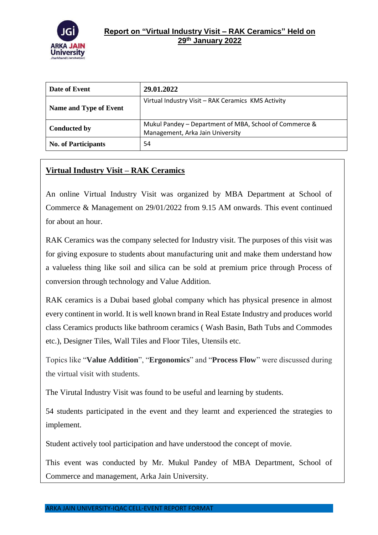

| Date of Event              | 29.01.2022                                                                                 |
|----------------------------|--------------------------------------------------------------------------------------------|
| Name and Type of Event     | Virtual Industry Visit - RAK Ceramics KMS Activity                                         |
| <b>Conducted by</b>        | Mukul Pandey – Department of MBA, School of Commerce &<br>Management, Arka Jain University |
| <b>No. of Participants</b> | 54                                                                                         |

## **Virtual Industry Visit – RAK Ceramics**

An online Virtual Industry Visit was organized by MBA Department at School of Commerce & Management on 29/01/2022 from 9.15 AM onwards. This event continued for about an hour.

RAK Ceramics was the company selected for Industry visit. The purposes of this visit was for giving exposure to students about manufacturing unit and make them understand how a valueless thing like soil and silica can be sold at premium price through Process of conversion through technology and Value Addition.

RAK ceramics is a Dubai based global company which has physical presence in almost every continent in world. It is well known brand in Real Estate Industry and produces world class Ceramics products like bathroom ceramics ( Wash Basin, Bath Tubs and Commodes etc.), Designer Tiles, Wall Tiles and Floor Tiles, Utensils etc.

Topics like "**Value Addition**", "**Ergonomics**" and "**Process Flow**" were discussed during the virtual visit with students.

The Virutal Industry Visit was found to be useful and learning by students.

54 students participated in the event and they learnt and experienced the strategies to implement.

Student actively tool participation and have understood the concept of movie.

This event was conducted by Mr. Mukul Pandey of MBA Department, School of Commerce and management, Arka Jain University.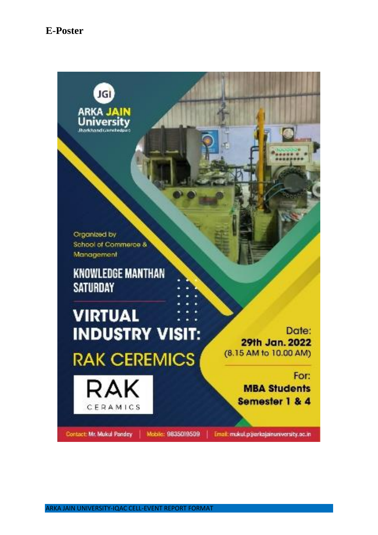## **E-Poster**